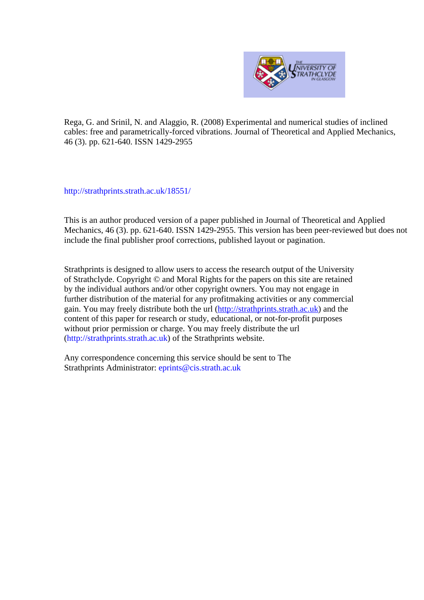

Rega, G. and Srinil, N. and Alaggio, R. (2008) Experimental and numerical studies of inclined cables: free and parametrically-forced vibrations. Journal of Theoretical and Applied Mechanics, 46 (3). pp. 621-640. ISSN 1429-2955

http://strathprints[.strath.ac.uk/](http://strathprints.strath.ac.uk/18551/)18551/

This is an author produced version of a paper published in Journal of Theoretical and Applied Mechanics, 46 (3). pp. 621-640. ISSN 1429-2955. This version has been peer-reviewed but does not include the final publisher proof corrections, published layout or pagination.

Strathprints is designed to allow users to access the research output of the University of Strathclyde. Copyright © and Moral Rights for the papers on this site are retained by the individual authors and/or other copyright owners. You may not engage in further distribution of the material for any profitmaking activities or any commercial gain. You may freely distribute both the url (http://strathprints[.strath.ac.uk\)](https://nemo.strath.ac.uk/exchweb/bin/redir.asp?URL=http://eprints.cdlr.strath.ac.uk) and the content of this paper for research or study, educational, or not-for-profit purposes without prior permission or charge. You may freely distribute the url (http://strathprints.strath.ac.uk) of the Strathprints website.

Any correspondence concerning this service should be sent to The Strathprints Administrator: eprints@cis.strath.ac.uk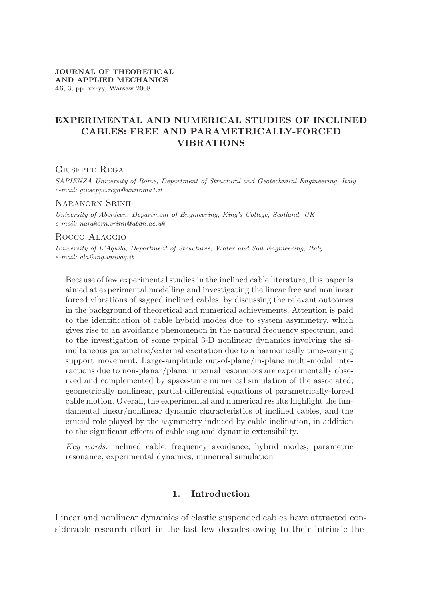# **EXPERIMENTAL AND NUMERICAL STUDIES OF INCLINED CABLES: FREE AND PARAMETRICALLY-FORCED VIBRATIONS**

## Giuseppe Rega

*SAPIENZA University of Rome, Department of Structural and Geotechnical Engineering, Italy e-mail: giuseppe.rega@uniroma1.it*

### Narakorn Srinil

*University of Aberdeen, Department of Engineering, King's College, Scotland, UK e-mail: narakorn.srinil@abdn.ac.uk*

### Rocco Alaggio

*University of L'Aquila, Department of Structures, Water and Soil Engineering, Italy e-mail: ala@ing.univaq.it*

Because of few experimental studies in the inclined cable literature, this paper is aimed at experimental modelling and investigating the linear free and nonlinear forced vibrations of sagged inclined cables, by discussing the relevant outcomes in the background of theoretical and numerical achievements. Attention is paid to the identification of cable hybrid modes due to system asymmetry, which gives rise to an avoidance phenomenon in the natural frequency spectrum, and to the investigation of some typical 3-D nonlinear dynamics involving the simultaneous parametric/external excitation due to a harmonically time-varying support movement. Large-amplitude out-of-plane/in-plane multi-modal interactions due to non-planar/planar internal resonances are experimentally observed and complemented by space-time numerical simulation of the associated, geometrically nonlinear, partial-differential equations of parametrically-forced cable motion. Overall, the experimental and numerical results highlight the fundamental linear/nonlinear dynamic characteristics of inclined cables, and the crucial role played by the asymmetry induced by cable inclination, in addition to the significant effects of cable sag and dynamic extensibility.

*Key words:* inclined cable, frequency avoidance, hybrid modes, parametric resonance, experimental dynamics, numerical simulation

# **1. Introduction**

Linear and nonlinear dynamics of elastic suspended cables have attracted considerable research effort in the last few decades owing to their intrinsic the-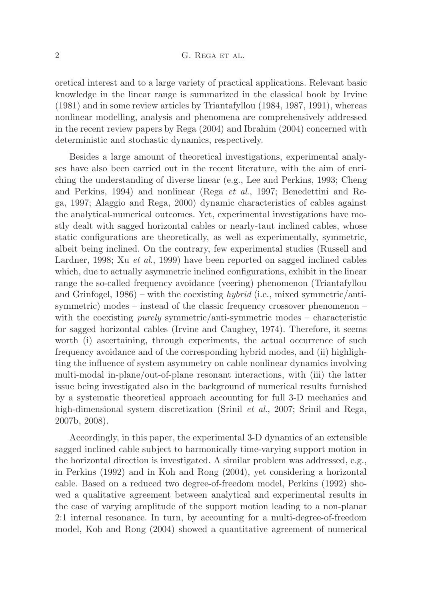### 2 G. REGA ET AL.

oretical interest and to a large variety of practical applications. Relevant basic knowledge in the linear range is summarized in the classical book by Irvine (1981) and in some review articles by Triantafyllou (1984, 1987, 1991), whereas nonlinear modelling, analysis and phenomena are comprehensively addressed in the recent review papers by Rega (2004) and Ibrahim (2004) concerned with deterministic and stochastic dynamics, respectively.

Besides a large amount of theoretical investigations, experimental analyses have also been carried out in the recent literature, with the aim of enriching the understanding of diverse linear (e.g., Lee and Perkins, 1993; Cheng and Perkins, 1994) and nonlinear (Rega *et al*., 1997; Benedettini and Rega, 1997; Alaggio and Rega, 2000) dynamic characteristics of cables against the analytical-numerical outcomes. Yet, experimental investigations have mostly dealt with sagged horizontal cables or nearly-taut inclined cables, whose static configurations are theoretically, as well as experimentally, symmetric, albeit being inclined. On the contrary, few experimental studies (Russell and Lardner, 1998; Xu *et al*., 1999) have been reported on sagged inclined cables which, due to actually asymmetric inclined configurations, exhibit in the linear range the so-called frequency avoidance (veering) phenomenon (Triantafyllou and Grinfogel, 1986) – with the coexisting *hybrid* (i.e., mixed symmetric/antisymmetric) modes – instead of the classic frequency crossover phenomenon – with the coexisting *purely* symmetric/anti-symmetric modes – characteristic for sagged horizontal cables (Irvine and Caughey, 1974). Therefore, it seems worth (i) ascertaining, through experiments, the actual occurrence of such frequency avoidance and of the corresponding hybrid modes, and (ii) highlighting the influence of system asymmetry on cable nonlinear dynamics involving multi-modal in-plane/out-of-plane resonant interactions, with (iii) the latter issue being investigated also in the background of numerical results furnished by a systematic theoretical approach accounting for full 3-D mechanics and high-dimensional system discretization (Srinil *et al*., 2007; Srinil and Rega, 2007b, 2008).

Accordingly, in this paper, the experimental 3-D dynamics of an extensible sagged inclined cable subject to harmonically time-varying support motion in the horizontal direction is investigated. A similar problem was addressed, e.g., in Perkins (1992) and in Koh and Rong (2004), yet considering a horizontal cable. Based on a reduced two degree-of-freedom model, Perkins (1992) showed a qualitative agreement between analytical and experimental results in the case of varying amplitude of the support motion leading to a non-planar 2:1 internal resonance. In turn, by accounting for a multi-degree-of-freedom model, Koh and Rong (2004) showed a quantitative agreement of numerical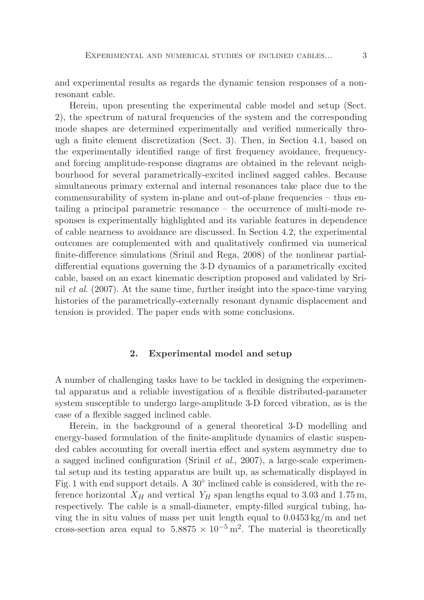and experimental results as regards the dynamic tension responses of a nonresonant cable.

Herein, upon presenting the experimental cable model and setup (Sect. 2), the spectrum of natural frequencies of the system and the corresponding mode shapes are determined experimentally and verified numerically through a finite element discretization (Sect. 3). Then, in Section 4.1, based on the experimentally identified range of first frequency avoidance, frequencyand forcing amplitude-response diagrams are obtained in the relevant neighbourhood for several parametrically-excited inclined sagged cables. Because simultaneous primary external and internal resonances take place due to the commensurability of system in-plane and out-of-plane frequencies – thus entailing a principal parametric resonance – the occurrence of multi-mode responses is experimentally highlighted and its variable features in dependence of cable nearness to avoidance are discussed. In Section 4.2, the experimental outcomes are complemented with and qualitatively confirmed via numerical finite-difference simulations (Srinil and Rega, 2008) of the nonlinear partialdifferential equations governing the 3-D dynamics of a parametrically excited cable, based on an exact kinematic description proposed and validated by Srinil *et al*. (2007). At the same time, further insight into the space-time varying histories of the parametrically-externally resonant dynamic displacement and tension is provided. The paper ends with some conclusions.

### **2. Experimental model and setup**

A number of challenging tasks have to be tackled in designing the experimental apparatus and a reliable investigation of a flexible distributed-parameter system susceptible to undergo large-amplitude 3-D forced vibration, as is the case of a flexible sagged inclined cable.

Herein, in the background of a general theoretical 3-D modelling and energy-based formulation of the finite-amplitude dynamics of elastic suspended cables accounting for overall inertia effect and system asymmetry due to a sagged inclined configuration (Srinil *et al*., 2007), a large-scale experimental setup and its testing apparatus are built up, as schematically displayed in Fig. 1 with end support details. A 30<sup>°</sup> inclined cable is considered, with the reference horizontal  $X_H$  and vertical  $Y_H$  span lengths equal to 3.03 and 1.75 m, respectively. The cable is a small-diameter, empty-filled surgical tubing, having the in situ values of mass per unit length equal to  $0.0453 \text{ kg/m}$  and net cross-section area equal to  $5.8875 \times 10^{-5}$  m<sup>2</sup>. The material is theoretically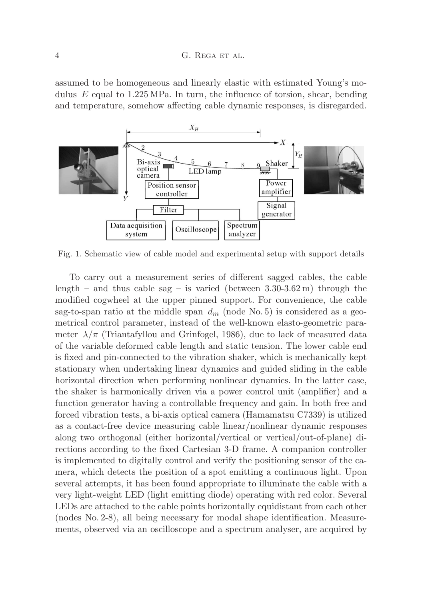### 4 G. Rega et al.

assumed to be homogeneous and linearly elastic with estimated Young's modulus *E* equal to 1.225 MPa. In turn, the influence of torsion, shear, bending and temperature, somehow affecting cable dynamic responses, is disregarded.



Fig. 1. Schematic view of cable model and experimental setup with support details

To carry out a measurement series of different sagged cables, the cable length – and thus cable sag – is varied (between  $3.30\text{-}3.62 \text{ m}$ ) through the modified cogwheel at the upper pinned support. For convenience, the cable sag-to-span ratio at the middle span  $d_m$  (node No. 5) is considered as a geometrical control parameter, instead of the well-known elasto-geometric parameter  $\lambda/\pi$  (Triantafyllou and Grinfogel, 1986), due to lack of measured data of the variable deformed cable length and static tension. The lower cable end is fixed and pin-connected to the vibration shaker, which is mechanically kept stationary when undertaking linear dynamics and guided sliding in the cable horizontal direction when performing nonlinear dynamics. In the latter case, the shaker is harmonically driven via a power control unit (amplifier) and a function generator having a controllable frequency and gain. In both free and forced vibration tests, a bi-axis optical camera (Hamamatsu C7339) is utilized as a contact-free device measuring cable linear/nonlinear dynamic responses along two orthogonal (either horizontal/vertical or vertical/out-of-plane) directions according to the fixed Cartesian 3-D frame. A companion controller is implemented to digitally control and verify the positioning sensor of the camera, which detects the position of a spot emitting a continuous light. Upon several attempts, it has been found appropriate to illuminate the cable with a very light-weight LED (light emitting diode) operating with red color. Several LEDs are attached to the cable points horizontally equidistant from each other (nodes No. 2-8), all being necessary for modal shape identification. Measurements, observed via an oscilloscope and a spectrum analyser, are acquired by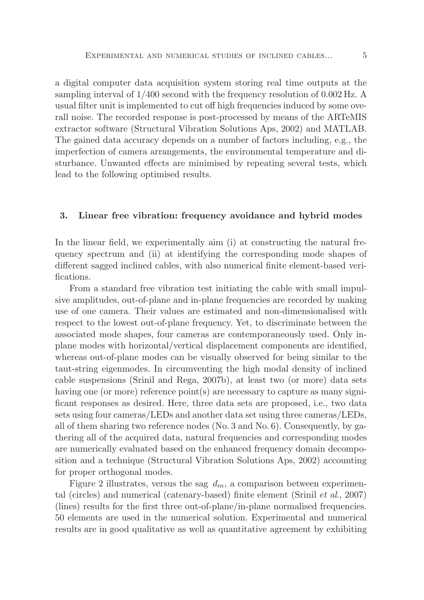a digital computer data acquisition system storing real time outputs at the sampling interval of 1/400 second with the frequency resolution of 0.002 Hz. A usual filter unit is implemented to cut off high frequencies induced by some overall noise. The recorded response is post-processed by means of the ARTeMIS extractor software (Structural Vibration Solutions Aps, 2002) and MATLAB. The gained data accuracy depends on a number of factors including, e.g., the imperfection of camera arrangements, the environmental temperature and disturbance. Unwanted effects are minimised by repeating several tests, which lead to the following optimised results.

### **3. Linear free vibration: frequency avoidance and hybrid modes**

In the linear field, we experimentally aim (i) at constructing the natural frequency spectrum and (ii) at identifying the corresponding mode shapes of different sagged inclined cables, with also numerical finite element-based verifications.

From a standard free vibration test initiating the cable with small impulsive amplitudes, out-of-plane and in-plane frequencies are recorded by making use of one camera. Their values are estimated and non-dimensionalised with respect to the lowest out-of-plane frequency. Yet, to discriminate between the associated mode shapes, four cameras are contemporaneously used. Only inplane modes with horizontal/vertical displacement components are identified, whereas out-of-plane modes can be visually observed for being similar to the taut-string eigenmodes. In circumventing the high modal density of inclined cable suspensions (Srinil and Rega, 2007b), at least two (or more) data sets having one (or more) reference point(s) are necessary to capture as many significant responses as desired. Here, three data sets are proposed, i.e., two data sets using four cameras/LEDs and another data set using three cameras/LEDs, all of them sharing two reference nodes (No. 3 and No. 6). Consequently, by gathering all of the acquired data, natural frequencies and corresponding modes are numerically evaluated based on the enhanced frequency domain decomposition and a technique (Structural Vibration Solutions Aps, 2002) accounting for proper orthogonal modes.

Figure 2 illustrates, versus the sag  $d_m$ , a comparison between experimental (circles) and numerical (catenary-based) finite element (Srinil *et al*., 2007) (lines) results for the first three out-of-plane/in-plane normalised frequencies. 50 elements are used in the numerical solution. Experimental and numerical results are in good qualitative as well as quantitative agreement by exhibiting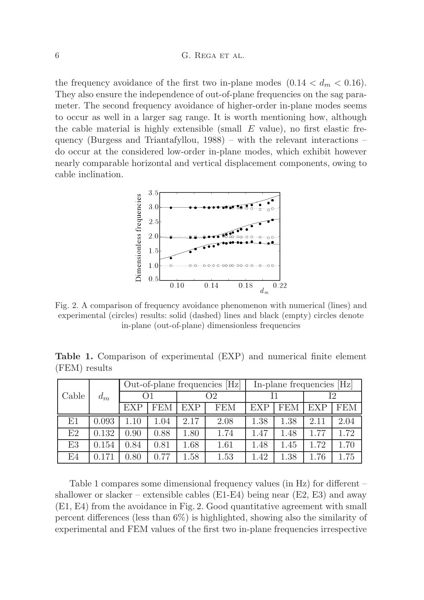the frequency avoidance of the first two in-plane modes  $(0.14 < d_m < 0.16)$ . They also ensure the independence of out-of-plane frequencies on the sag parameter. The second frequency avoidance of higher-order in-plane modes seems to occur as well in a larger sag range. It is worth mentioning how, although the cable material is highly extensible (small *E* value), no first elastic frequency (Burgess and Triantafyllou, 1988) – with the relevant interactions – do occur at the considered low-order in-plane modes, which exhibit however nearly comparable horizontal and vertical displacement components, owing to cable inclination.



Fig. 2. A comparison of frequency avoidance phenomenon with numerical (lines) and experimental (circles) results: solid (dashed) lines and black (empty) circles denote in-plane (out-of-plane) dimensionless frequencies

**Table 1.** Comparison of experimental (EXP) and numerical finite element (FEM) results

| Cable          | $d_m$ | Out-of-plane frequencies [Hz] |            |            |            | In-plane frequencies [Hz] |            |            |      |
|----------------|-------|-------------------------------|------------|------------|------------|---------------------------|------------|------------|------|
|                |       |                               |            | О2         |            |                           |            | I2         |      |
|                |       | <b>EXP</b>                    | <b>FEM</b> | <b>EXP</b> | <b>FEM</b> | <b>EXP</b>                | <b>FEM</b> | <b>EXP</b> | FEM  |
| E1             | 0.093 | 1.10                          | 1.04       | 2.17       | 2.08       | 1.38                      | $1.38\,$   | 2.11       | 2.04 |
| E2             | 0.132 | 0.90                          | 0.88       | 1.80       | 1.74       | 1.47                      | 1.48       | 1.77       | 1.72 |
| E <sub>3</sub> | 0.154 | 0.84                          | 0.81       | $1.68\,$   | 1.61       | 1.48                      | 1.45       | 1.72       | 1.70 |
| E4             | 0.171 | 0.80                          | 0.77       | 1.58       | 1.53       | 1.42                      | $1.38\,$   | 1.76       | 1.75 |

Table 1 compares some dimensional frequency values (in Hz) for different – shallower or slacker – extensible cables  $(E1-E4)$  being near  $(E2, E3)$  and away (E1, E4) from the avoidance in Fig. 2. Good quantitative agreement with small percent differences (less than 6%) is highlighted, showing also the similarity of experimental and FEM values of the first two in-plane frequencies irrespective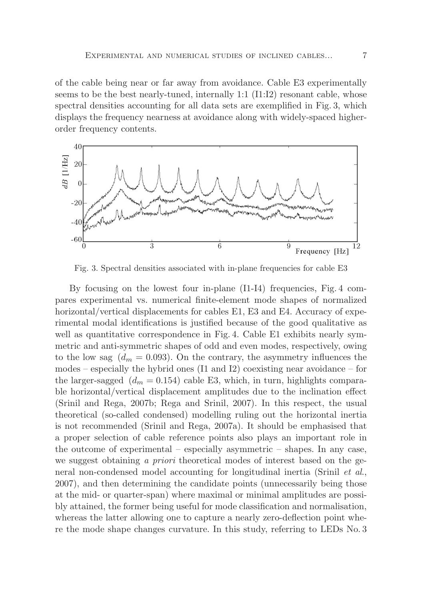of the cable being near or far away from avoidance. Cable E3 experimentally seems to be the best nearly-tuned, internally  $1:1$   $(11:12)$  resonant cable, whose spectral densities accounting for all data sets are exemplified in Fig. 3, which displays the frequency nearness at avoidance along with widely-spaced higherorder frequency contents.



Fig. 3. Spectral densities associated with in-plane frequencies for cable E3

By focusing on the lowest four in-plane (I1-I4) frequencies, Fig. 4 compares experimental vs. numerical finite-element mode shapes of normalized horizontal/vertical displacements for cables E1, E3 and E4. Accuracy of experimental modal identifications is justified because of the good qualitative as well as quantitative correspondence in Fig. 4. Cable E1 exhibits nearly symmetric and anti-symmetric shapes of odd and even modes, respectively, owing to the low sag  $(d_m = 0.093)$ . On the contrary, the asymmetry influences the modes – especially the hybrid ones (I1 and I2) coexisting near avoidance – for the larger-sagged  $(d_m = 0.154)$  cable E3, which, in turn, highlights comparable horizontal/vertical displacement amplitudes due to the inclination effect (Srinil and Rega, 2007b; Rega and Srinil, 2007). In this respect, the usual theoretical (so-called condensed) modelling ruling out the horizontal inertia is not recommended (Srinil and Rega, 2007a). It should be emphasised that a proper selection of cable reference points also plays an important role in the outcome of experimental – especially asymmetric – shapes. In any case, we suggest obtaining *a priori* theoretical modes of interest based on the general non-condensed model accounting for longitudinal inertia (Srinil *et al*., 2007), and then determining the candidate points (unnecessarily being those at the mid- or quarter-span) where maximal or minimal amplitudes are possibly attained, the former being useful for mode classification and normalisation, whereas the latter allowing one to capture a nearly zero-deflection point where the mode shape changes curvature. In this study, referring to LEDs No. 3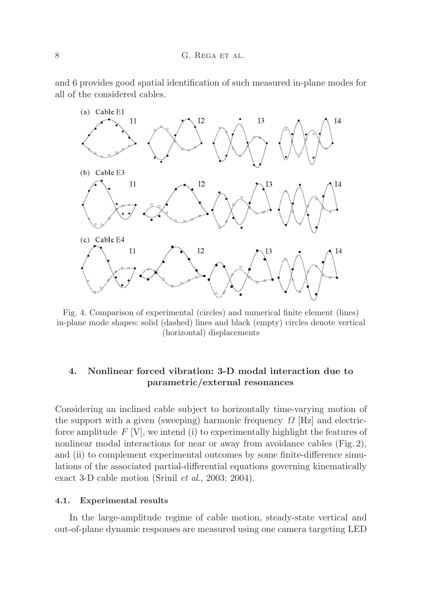and 6 provides good spatial identification of such measured in-plane modes for all of the considered cables.



Fig. 4. Comparison of experimental (circles) and numerical finite element (lines) in-plane mode shapes: solid (dashed) lines and black (empty) circles denote vertical (horizontal) displacements

# **4. Nonlinear forced vibration: 3-D modal interaction due to parametric/external resonances**

Considering an inclined cable subject to horizontally time-varying motion of the support with a given (sweeping) harmonic frequency *Ω* [Hz] and electricforce amplitude  $F[V]$ , we intend (i) to experimentally highlight the features of nonlinear modal interactions for near or away from avoidance cables (Fig. 2), and (ii) to complement experimental outcomes by some finite-difference simulations of the associated partial-differential equations governing kinematically exact 3-D cable motion (Srinil *et al*., 2003; 2004).

### **4.1. Experimental results**

In the large-amplitude regime of cable motion, steady-state vertical and out-of-plane dynamic responses are measured using one camera targeting LED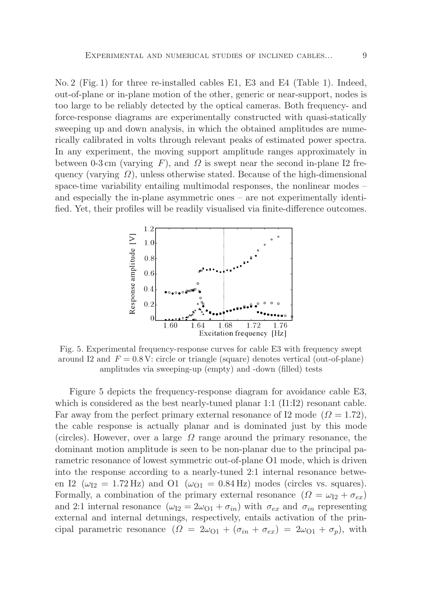No. 2 (Fig. 1) for three re-installed cables E1, E3 and E4 (Table 1). Indeed, out-of-plane or in-plane motion of the other, generic or near-support, nodes is too large to be reliably detected by the optical cameras. Both frequency- and force-response diagrams are experimentally constructed with quasi-statically sweeping up and down analysis, in which the obtained amplitudes are numerically calibrated in volts through relevant peaks of estimated power spectra. In any experiment, the moving support amplitude ranges approximately in between 0-3 cm (varying  $F$ ), and  $\Omega$  is swept near the second in-plane I2 frequency (varying *Ω*), unless otherwise stated. Because of the high-dimensional space-time variability entailing multimodal responses, the nonlinear modes – and especially the in-plane asymmetric ones – are not experimentally identified. Yet, their profiles will be readily visualised via finite-difference outcomes.



Fig. 5. Experimental frequency-response curves for cable E3 with frequency swept around I2 and  $F = 0.8$  V: circle or triangle (square) denotes vertical (out-of-plane) amplitudes via sweeping-up (empty) and -down (filled) tests

Figure 5 depicts the frequency-response diagram for avoidance cable E3, which is considered as the best nearly-tuned planar 1:1 (I1:I2) resonant cable. Far away from the perfect primary external resonance of I2 mode  $(\Omega = 1.72)$ , the cable response is actually planar and is dominated just by this mode (circles). However, over a large *Ω* range around the primary resonance, the dominant motion amplitude is seen to be non-planar due to the principal parametric resonance of lowest symmetric out-of-plane O1 mode, which is driven into the response according to a nearly-tuned 2:1 internal resonance between I2 ( $\omega_{I2} = 1.72 \text{ Hz}$ ) and O1 ( $\omega_{O1} = 0.84 \text{ Hz}$ ) modes (circles vs. squares). Formally, a combination of the primary external resonance  $(\Omega = \omega_{I2} + \sigma_{ex})$ and 2:1 internal resonance  $(\omega_{12} = 2\omega_{01} + \sigma_{in})$  with  $\sigma_{ex}$  and  $\sigma_{in}$  representing external and internal detunings, respectively, entails activation of the principal parametric resonance  $(\Omega = 2\omega_{01} + (\sigma_{in} + \sigma_{ex}) = 2\omega_{01} + \sigma_p)$ , with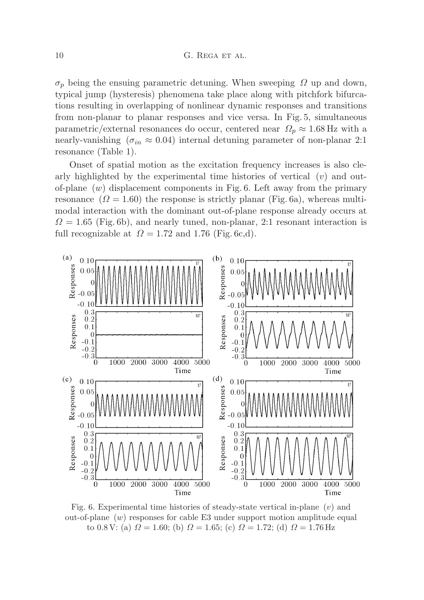$\sigma_p$  being the ensuing parametric detuning. When sweeping  $\Omega$  up and down, typical jump (hysteresis) phenomena take place along with pitchfork bifurcations resulting in overlapping of nonlinear dynamic responses and transitions from non-planar to planar responses and vice versa. In Fig. 5, simultaneous parametric/external resonances do occur, centered near  $\Omega_p \approx 1.68$  Hz with a nearly-vanishing ( $\sigma_{in} \approx 0.04$ ) internal detuning parameter of non-planar 2:1 resonance (Table 1).

Onset of spatial motion as the excitation frequency increases is also clearly highlighted by the experimental time histories of vertical (*v*) and outof-plane (*w*) displacement components in Fig. 6. Left away from the primary resonance  $(\Omega = 1.60)$  the response is strictly planar (Fig. 6a), whereas multimodal interaction with the dominant out-of-plane response already occurs at  $Q = 1.65$  (Fig. 6b), and nearly tuned, non-planar, 2:1 resonant interaction is full recognizable at  $\Omega = 1.72$  and 1.76 (Fig. 6c,d).



Fig. 6. Experimental time histories of steady-state vertical in-plane (*v*) and out-of-plane (*w*) responses for cable E3 under support motion amplitude equal to 0.8 V: (a)  $\Omega = 1.60$ ; (b)  $\Omega = 1.65$ ; (c)  $\Omega = 1.72$ ; (d)  $\Omega = 1.76$  Hz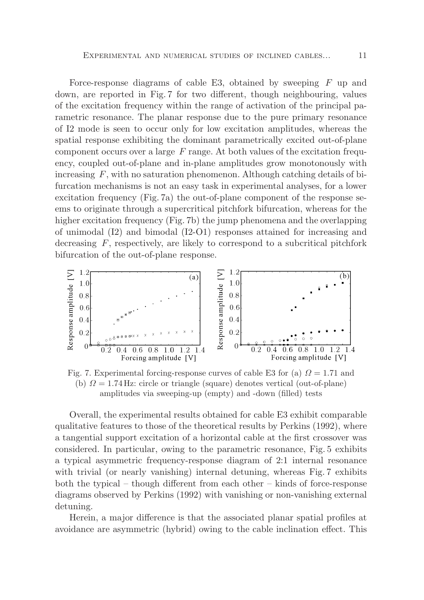Force-response diagrams of cable E3, obtained by sweeping *F* up and down, are reported in Fig. 7 for two different, though neighbouring, values of the excitation frequency within the range of activation of the principal parametric resonance. The planar response due to the pure primary resonance of I2 mode is seen to occur only for low excitation amplitudes, whereas the spatial response exhibiting the dominant parametrically excited out-of-plane component occurs over a large *F* range. At both values of the excitation frequency, coupled out-of-plane and in-plane amplitudes grow monotonously with increasing *F*, with no saturation phenomenon. Although catching details of bifurcation mechanisms is not an easy task in experimental analyses, for a lower excitation frequency (Fig. 7a) the out-of-plane component of the response seems to originate through a supercritical pitchfork bifurcation, whereas for the higher excitation frequency (Fig. 7b) the jump phenomena and the overlapping of unimodal (I2) and bimodal (I2-O1) responses attained for increasing and decreasing *F*, respectively, are likely to correspond to a subcritical pitchfork bifurcation of the out-of-plane response.



Fig. 7. Experimental forcing-response curves of cable E3 for (a) *Ω* = 1*.*71 and (b)  $\Omega = 1.74$  Hz: circle or triangle (square) denotes vertical (out-of-plane) amplitudes via sweeping-up (empty) and -down (filled) tests

Overall, the experimental results obtained for cable E3 exhibit comparable qualitative features to those of the theoretical results by Perkins (1992), where a tangential support excitation of a horizontal cable at the first crossover was considered. In particular, owing to the parametric resonance, Fig. 5 exhibits a typical asymmetric frequency-response diagram of 2:1 internal resonance with trivial (or nearly vanishing) internal detuning, whereas Fig. 7 exhibits both the typical – though different from each other – kinds of force-response diagrams observed by Perkins (1992) with vanishing or non-vanishing external detuning.

Herein, a major difference is that the associated planar spatial profiles at avoidance are asymmetric (hybrid) owing to the cable inclination effect. This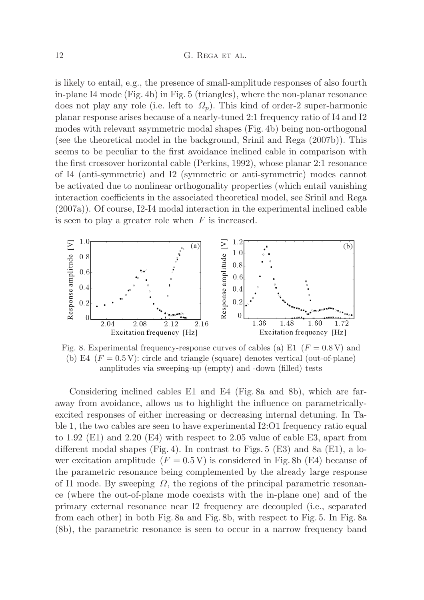is likely to entail, e.g., the presence of small-amplitude responses of also fourth in-plane I4 mode (Fig. 4b) in Fig. 5 (triangles), where the non-planar resonance does not play any role (i.e. left to  $\Omega_p$ ). This kind of order-2 super-harmonic planar response arises because of a nearly-tuned 2:1 frequency ratio of I4 and I2 modes with relevant asymmetric modal shapes (Fig. 4b) being non-orthogonal (see the theoretical model in the background, Srinil and Rega (2007b)). This seems to be peculiar to the first avoidance inclined cable in comparison with the first crossover horizontal cable (Perkins, 1992), whose planar 2:1 resonance of I4 (anti-symmetric) and I2 (symmetric or anti-symmetric) modes cannot be activated due to nonlinear orthogonality properties (which entail vanishing interaction coefficients in the associated theoretical model, see Srinil and Rega (2007a)). Of course, I2-I4 modal interaction in the experimental inclined cable is seen to play a greater role when *F* is increased.



Fig. 8. Experimental frequency-response curves of cables (a) E1  $(F = 0.8 \text{ V})$  and (b) E4  $(F = 0.5 \text{ V})$ : circle and triangle (square) denotes vertical (out-of-plane) amplitudes via sweeping-up (empty) and -down (filled) tests

Considering inclined cables E1 and E4 (Fig. 8a and 8b), which are faraway from avoidance, allows us to highlight the influence on parametricallyexcited responses of either increasing or decreasing internal detuning. In Table 1, the two cables are seen to have experimental I2:O1 frequency ratio equal to 1.92 (E1) and 2.20 (E4) with respect to 2.05 value of cable E3, apart from different modal shapes (Fig. 4). In contrast to Figs.  $5$  (E3) and 8a (E1), a lower excitation amplitude  $(F = 0.5 \text{ V})$  is considered in Fig. 8b (E4) because of the parametric resonance being complemented by the already large response of I1 mode. By sweeping *Ω*, the regions of the principal parametric resonance (where the out-of-plane mode coexists with the in-plane one) and of the primary external resonance near I2 frequency are decoupled (i.e., separated from each other) in both Fig. 8a and Fig. 8b, with respect to Fig. 5. In Fig. 8a (8b), the parametric resonance is seen to occur in a narrow frequency band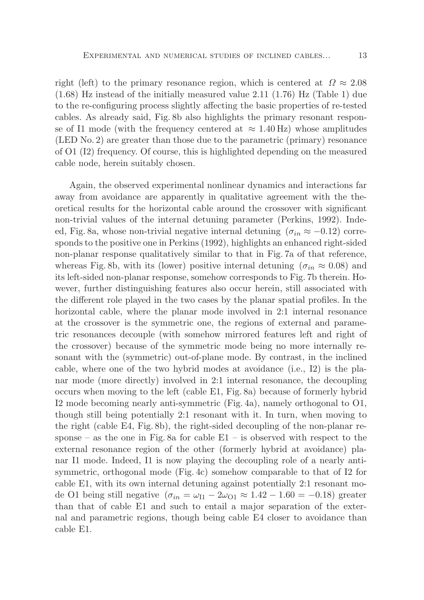right (left) to the primary resonance region, which is centered at  $\Omega \approx 2.08$ (1.68) Hz instead of the initially measured value 2.11 (1.76) Hz (Table 1) due to the re-configuring process slightly affecting the basic properties of re-tested cables. As already said, Fig. 8b also highlights the primary resonant response of I1 mode (with the frequency centered at  $\approx 1.40 \text{ Hz}$ ) whose amplitudes (LED No. 2) are greater than those due to the parametric (primary) resonance of O1 (I2) frequency. Of course, this is highlighted depending on the measured cable node, herein suitably chosen.

Again, the observed experimental nonlinear dynamics and interactions far away from avoidance are apparently in qualitative agreement with the theoretical results for the horizontal cable around the crossover with significant non-trivial values of the internal detuning parameter (Perkins, 1992). Indeed, Fig. 8a, whose non-trivial negative internal detuning  $(\sigma_{in} \approx -0.12)$  corresponds to the positive one in Perkins (1992), highlights an enhanced right-sided non-planar response qualitatively similar to that in Fig. 7a of that reference, whereas Fig. 8b, with its (lower) positive internal detuning ( $\sigma_{in} \approx 0.08$ ) and its left-sided non-planar response, somehow corresponds to Fig. 7b therein. However, further distinguishing features also occur herein, still associated with the different role played in the two cases by the planar spatial profiles. In the horizontal cable, where the planar mode involved in 2:1 internal resonance at the crossover is the symmetric one, the regions of external and parametric resonances decouple (with somehow mirrored features left and right of the crossover) because of the symmetric mode being no more internally resonant with the (symmetric) out-of-plane mode. By contrast, in the inclined cable, where one of the two hybrid modes at avoidance (i.e., I2) is the planar mode (more directly) involved in 2:1 internal resonance, the decoupling occurs when moving to the left (cable E1, Fig. 8a) because of formerly hybrid I2 mode becoming nearly anti-symmetric (Fig. 4a), namely orthogonal to O1, though still being potentially 2:1 resonant with it. In turn, when moving to the right (cable E4, Fig. 8b), the right-sided decoupling of the non-planar response – as the one in Fig. 8a for cable  $E1 -$  is observed with respect to the external resonance region of the other (formerly hybrid at avoidance) planar I1 mode. Indeed, I1 is now playing the decoupling role of a nearly antisymmetric, orthogonal mode (Fig. 4c) somehow comparable to that of I2 for cable E1, with its own internal detuning against potentially 2:1 resonant mode O1 being still negative  $(\sigma_{in} = \omega_{I1} - 2\omega_{O1} \approx 1.42 - 1.60 = -0.18)$  greater than that of cable E1 and such to entail a major separation of the external and parametric regions, though being cable E4 closer to avoidance than cable E1.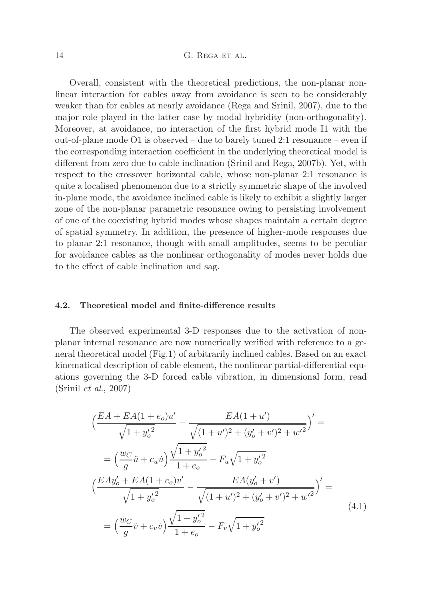# 14 G. REGA ET AL.

Overall, consistent with the theoretical predictions, the non-planar nonlinear interaction for cables away from avoidance is seen to be considerably weaker than for cables at nearly avoidance (Rega and Srinil, 2007), due to the major role played in the latter case by modal hybridity (non-orthogonality). Moreover, at avoidance, no interaction of the first hybrid mode I1 with the out-of-plane mode O1 is observed – due to barely tuned 2:1 resonance – even if the corresponding interaction coefficient in the underlying theoretical model is different from zero due to cable inclination (Srinil and Rega, 2007b). Yet, with respect to the crossover horizontal cable, whose non-planar 2:1 resonance is quite a localised phenomenon due to a strictly symmetric shape of the involved in-plane mode, the avoidance inclined cable is likely to exhibit a slightly larger zone of the non-planar parametric resonance owing to persisting involvement of one of the coexisting hybrid modes whose shapes maintain a certain degree of spatial symmetry. In addition, the presence of higher-mode responses due to planar 2:1 resonance, though with small amplitudes, seems to be peculiar for avoidance cables as the nonlinear orthogonality of modes never holds due to the effect of cable inclination and sag.

### **4.2. Theoretical model and finite-difference results**

The observed experimental 3-D responses due to the activation of nonplanar internal resonance are now numerically verified with reference to a general theoretical model (Fig.1) of arbitrarily inclined cables. Based on an exact kinematical description of cable element, the nonlinear partial-differential equations governing the 3-D forced cable vibration, in dimensional form, read (Srinil *et al*., 2007)

$$
\left(\frac{EA + EA(1 + e_o)u'}{\sqrt{1 + y_o'^2}} - \frac{EA(1 + u')}{\sqrt{(1 + u')^2 + (y_o' + v')^2 + w'^2}}\right)' =
$$
\n
$$
= \left(\frac{wc}{g}\ddot{u} + c_u\dot{u}\right)\frac{\sqrt{1 + y_o'^2}}{1 + e_o} - F_u\sqrt{1 + y_o'^2}
$$
\n
$$
\left(\frac{EAy_o' + EA(1 + e_o)v'}{\sqrt{1 + y_o'^2}} - \frac{EA(y_o' + v')}{\sqrt{(1 + u')^2 + (y_o' + v')^2 + w'^2}}\right)' =
$$
\n
$$
= \left(\frac{wc}{g}\ddot{v} + c_v\dot{v}\right)\frac{\sqrt{1 + y_o'^2}}{1 + e_o} - F_v\sqrt{1 + y_o'^2}
$$
\n(4.1)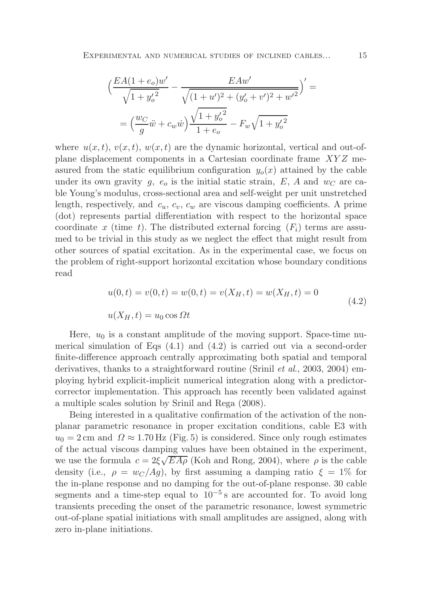$$
\left(\frac{EA(1+e_o)w'}{\sqrt{1+{y_o'}^2}} - \frac{EAw'}{\sqrt{(1+u')^2 + (y_o'+v')^2 + w'^2}}\right)' =
$$
  
= 
$$
\left(\frac{wc}{g}\ddot{w} + c_w\dot{w}\right)\frac{\sqrt{1+{y_o'}^2}}{1+e_o} - F_w\sqrt{1+{y_o'}^2}
$$

where  $u(x, t)$ ,  $v(x, t)$ ,  $w(x, t)$  are the dynamic horizontal, vertical and out-ofplane displacement components in a Cartesian coordinate frame *XY Z* measured from the static equilibrium configuration  $y_o(x)$  attained by the cable under its own gravity  $g$ ,  $e_o$  is the initial static strain,  $E$ ,  $A$  and  $w_C$  are cable Young's modulus, cross-sectional area and self-weight per unit unstretched length, respectively, and *cu*, *cv*, *c<sup>w</sup>* are viscous damping coefficients. A prime (dot) represents partial differentiation with respect to the horizontal space coordinate x (time t). The distributed external forcing  $(F_i)$  terms are assumed to be trivial in this study as we neglect the effect that might result from other sources of spatial excitation. As in the experimental case, we focus on the problem of right-support horizontal excitation whose boundary conditions read

$$
u(0,t) = v(0,t) = w(0,t) = v(X_H, t) = w(X_H, t) = 0
$$
  

$$
u(X_H, t) = u_0 \cos \Omega t
$$
 (4.2)

Here,  $u_0$  is a constant amplitude of the moving support. Space-time numerical simulation of Eqs  $(4.1)$  and  $(4.2)$  is carried out via a second-order finite-difference approach centrally approximating both spatial and temporal derivatives, thanks to a straightforward routine (Srinil *et al*., 2003, 2004) employing hybrid explicit-implicit numerical integration along with a predictorcorrector implementation. This approach has recently been validated against a multiple scales solution by Srinil and Rega (2008).

Being interested in a qualitative confirmation of the activation of the nonplanar parametric resonance in proper excitation conditions, cable E3 with  $u_0 = 2$  cm and  $\Omega \approx 1.70$  Hz (Fig. 5) is considered. Since only rough estimates of the actual viscous damping values have been obtained in the experiment, we use the formula  $c = 2\xi \sqrt{EA\rho}$  (Koh and Rong, 2004), where  $\rho$  is the cable density (i.e.,  $\rho = w_C/Ag$ ), by first assuming a damping ratio  $\xi = 1\%$  for the in-plane response and no damping for the out-of-plane response. 30 cable segments and a time-step equal to  $10^{-5}$  s are accounted for. To avoid long transients preceding the onset of the parametric resonance, lowest symmetric out-of-plane spatial initiations with small amplitudes are assigned, along with zero in-plane initiations.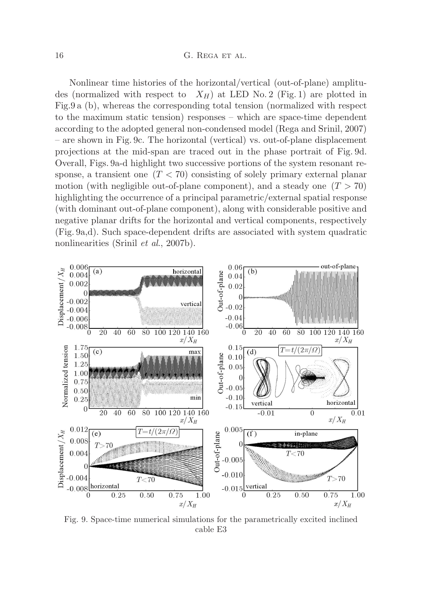Nonlinear time histories of the horizontal/vertical (out-of-plane) amplitudes (normalized with respect to  $X_H$ ) at LED No. 2 (Fig. 1) are plotted in Fig.9 a (b), whereas the corresponding total tension (normalized with respect to the maximum static tension) responses – which are space-time dependent according to the adopted general non-condensed model (Rega and Srinil, 2007) – are shown in Fig. 9c. The horizontal (vertical) vs. out-of-plane displacement projections at the mid-span are traced out in the phase portrait of Fig. 9d. Overall, Figs. 9a-d highlight two successive portions of the system resonant response, a transient one (*T <* 70) consisting of solely primary external planar motion (with negligible out-of-plane component), and a steady one  $(T > 70)$ highlighting the occurrence of a principal parametric/external spatial response (with dominant out-of-plane component), along with considerable positive and negative planar drifts for the horizontal and vertical components, respectively (Fig. 9a,d). Such space-dependent drifts are associated with system quadratic nonlinearities (Srinil *et al*., 2007b).



Fig. 9. Space-time numerical simulations for the parametrically excited inclined cable E3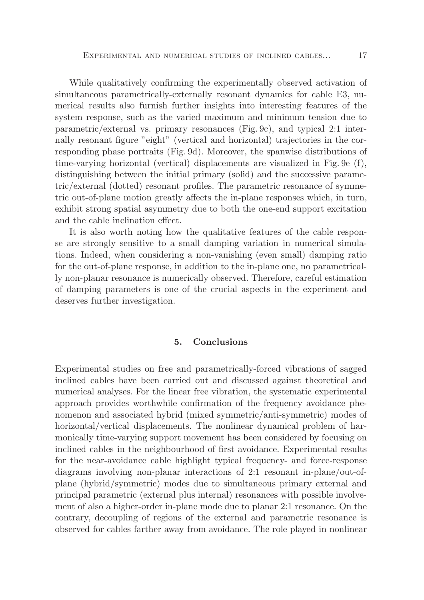While qualitatively confirming the experimentally observed activation of simultaneous parametrically-externally resonant dynamics for cable E3, numerical results also furnish further insights into interesting features of the system response, such as the varied maximum and minimum tension due to parametric/external vs. primary resonances (Fig. 9c), and typical 2:1 internally resonant figure "eight" (vertical and horizontal) trajectories in the corresponding phase portraits (Fig. 9d). Moreover, the spanwise distributions of time-varying horizontal (vertical) displacements are visualized in Fig. 9e (f), distinguishing between the initial primary (solid) and the successive parametric/external (dotted) resonant profiles. The parametric resonance of symmetric out-of-plane motion greatly affects the in-plane responses which, in turn, exhibit strong spatial asymmetry due to both the one-end support excitation and the cable inclination effect.

It is also worth noting how the qualitative features of the cable response are strongly sensitive to a small damping variation in numerical simulations. Indeed, when considering a non-vanishing (even small) damping ratio for the out-of-plane response, in addition to the in-plane one, no parametrically non-planar resonance is numerically observed. Therefore, careful estimation of damping parameters is one of the crucial aspects in the experiment and deserves further investigation.

# **5. Conclusions**

Experimental studies on free and parametrically-forced vibrations of sagged inclined cables have been carried out and discussed against theoretical and numerical analyses. For the linear free vibration, the systematic experimental approach provides worthwhile confirmation of the frequency avoidance phenomenon and associated hybrid (mixed symmetric/anti-symmetric) modes of horizontal/vertical displacements. The nonlinear dynamical problem of harmonically time-varying support movement has been considered by focusing on inclined cables in the neighbourhood of first avoidance. Experimental results for the near-avoidance cable highlight typical frequency- and force-response diagrams involving non-planar interactions of 2:1 resonant in-plane/out-ofplane (hybrid/symmetric) modes due to simultaneous primary external and principal parametric (external plus internal) resonances with possible involvement of also a higher-order in-plane mode due to planar 2:1 resonance. On the contrary, decoupling of regions of the external and parametric resonance is observed for cables farther away from avoidance. The role played in nonlinear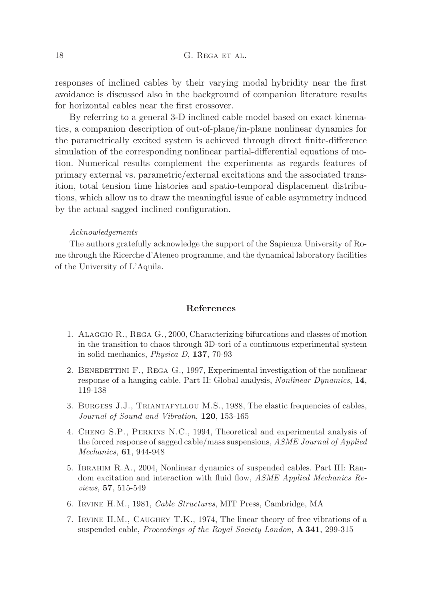responses of inclined cables by their varying modal hybridity near the first avoidance is discussed also in the background of companion literature results for horizontal cables near the first crossover.

By referring to a general 3-D inclined cable model based on exact kinematics, a companion description of out-of-plane/in-plane nonlinear dynamics for the parametrically excited system is achieved through direct finite-difference simulation of the corresponding nonlinear partial-differential equations of motion. Numerical results complement the experiments as regards features of primary external vs. parametric/external excitations and the associated transition, total tension time histories and spatio-temporal displacement distributions, which allow us to draw the meaningful issue of cable asymmetry induced by the actual sagged inclined configuration.

#### *Acknowledgements*

The authors gratefully acknowledge the support of the Sapienza University of Rome through the Ricerche d'Ateneo programme, and the dynamical laboratory facilities of the University of L'Aquila.

## **References**

- 1. Alaggio R., Rega G., 2000, Characterizing bifurcations and classes of motion in the transition to chaos through 3D-tori of a continuous experimental system in solid mechanics, *Physica D*, **137**, 70-93
- 2. BENEDETTINI F., REGA G., 1997, Experimental investigation of the nonlinear response of a hanging cable. Part II: Global analysis, *Nonlinear Dynamics*, **14**, 119-138
- 3. Burgess J.J., Triantafyllou M.S., 1988, The elastic frequencies of cables, *Journal of Sound and Vibration*, **120**, 153-165
- 4. Cheng S.P., Perkins N.C., 1994, Theoretical and experimental analysis of the forced response of sagged cable/mass suspensions, *ASME Journal of Applied Mechanics*, **61**, 944-948
- 5. Ibrahim R.A., 2004, Nonlinear dynamics of suspended cables. Part III: Random excitation and interaction with fluid flow, *ASME Applied Mechanics Reviews*, **57**, 515-549
- 6. Irvine H.M., 1981, *Cable Structures*, MIT Press, Cambridge, MA
- 7. Irvine H.M., Caughey T.K., 1974, The linear theory of free vibrations of a suspended cable, *Proceedings of the Royal Society London*, **A 341**, 299-315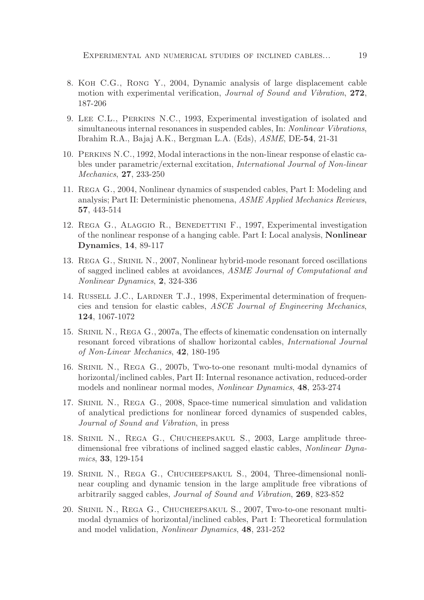- 8. Koh C.G., Rong Y., 2004, Dynamic analysis of large displacement cable motion with experimental verification, *Journal of Sound and Vibration*, **272**, 187-206
- 9. Lee C.L., Perkins N.C., 1993, Experimental investigation of isolated and simultaneous internal resonances in suspended cables, In: *Nonlinear Vibrations*, Ibrahim R.A., Bajaj A.K., Bergman L.A. (Eds), *ASME*, DE-**54**, 21-31
- 10. Perkins N.C., 1992, Modal interactions in the non-linear response of elastic cables under parametric/external excitation, *International Journal of Non-linear Mechanics*, **27**, 233-250
- 11. Rega G., 2004, Nonlinear dynamics of suspended cables, Part I: Modeling and analysis; Part II: Deterministic phenomena, *ASME Applied Mechanics Reviews*, **57**, 443-514
- 12. Rega G., Alaggio R., Benedettini F., 1997, Experimental investigation of the nonlinear response of a hanging cable. Part I: Local analysis, **Nonlinear Dynamics**, **14**, 89-117
- 13. Rega G., Srinil N., 2007, Nonlinear hybrid-mode resonant forced oscillations of sagged inclined cables at avoidances, *ASME Journal of Computational and Nonlinear Dynamics*, **2**, 324-336
- 14. RUSSELL J.C., LARDNER T.J., 1998, Experimental determination of frequencies and tension for elastic cables, *ASCE Journal of Engineering Mechanics*, **124**, 1067-1072
- 15. Srinil N., Rega G., 2007a, The effects of kinematic condensation on internally resonant forced vibrations of shallow horizontal cables, *International Journal of Non-Linear Mechanics*, **42**, 180-195
- 16. Srinil N., Rega G., 2007b, Two-to-one resonant multi-modal dynamics of horizontal/inclined cables, Part II: Internal resonance activation, reduced-order models and nonlinear normal modes, *Nonlinear Dynamics*, **48**, 253-274
- 17. Srinil N., Rega G., 2008, Space-time numerical simulation and validation of analytical predictions for nonlinear forced dynamics of suspended cables, *Journal of Sound and Vibration*, in press
- 18. Srinil N., Rega G., Chucheepsakul S., 2003, Large amplitude threedimensional free vibrations of inclined sagged elastic cables, *Nonlinear Dynamics*, **33**, 129-154
- 19. Srinil N., Rega G., Chucheepsakul S., 2004, Three-dimensional nonlinear coupling and dynamic tension in the large amplitude free vibrations of arbitrarily sagged cables, *Journal of Sound and Vibration*, **269**, 823-852
- 20. Srinil N., Rega G., Chucheepsakul S., 2007, Two-to-one resonant multimodal dynamics of horizontal/inclined cables, Part I: Theoretical formulation and model validation, *Nonlinear Dynamics*, **48**, 231-252